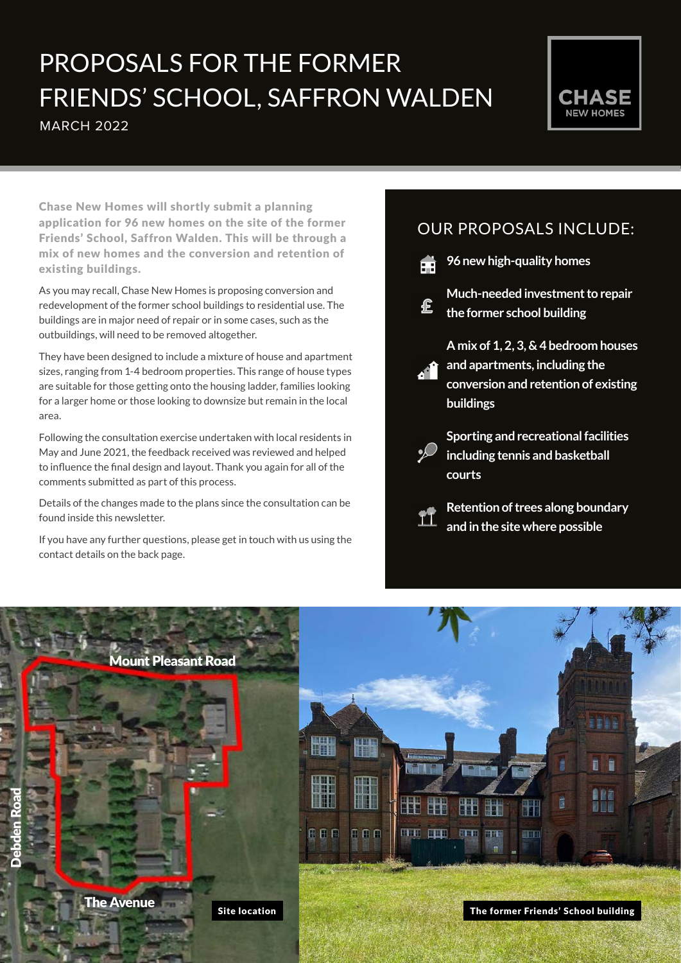# MARCH 2022 PROPOSALS FOR THE FORMER FRIENDS' SCHOOL, SAFFRON WALDEN



Chase New Homes will shortly submit a planning application for 96 new homes on the site of the former Friends' School, Saffron Walden. This will be through a mix of new homes and the conversion and retention of existing buildings.

As you may recall, Chase New Homes is proposing conversion and redevelopment of the former school buildings to residential use. The buildings are in major need of repair or in some cases, such as the outbuildings, will need to be removed altogether.

They have been designed to include a mixture of house and apartment sizes, ranging from 1-4 bedroom properties. This range of house types are suitable for those getting onto the housing ladder, families looking for a larger home or those looking to downsize but remain in the local area.

Following the consultation exercise undertaken with local residents in May and June 2021, the feedback received was reviewed and helped to influence the final design and layout. Thank you again for all of the comments submitted as part of this process.

Details of the changes made to the plans since the consultation can be found inside this newsletter.

If you have any further questions, please get in touch with us using the contact details on the back page.

## OUR PROPOSALS INCLUDE:

**96 new high-quality homes**

Æ

£

**Much-needed investment to repair the former school building**

**A mix of 1, 2, 3, & 4 bedroom houses and apartments, including the conversion and retention of existing buildings**

**Sporting and recreational facilities including tennis and basketball courts**



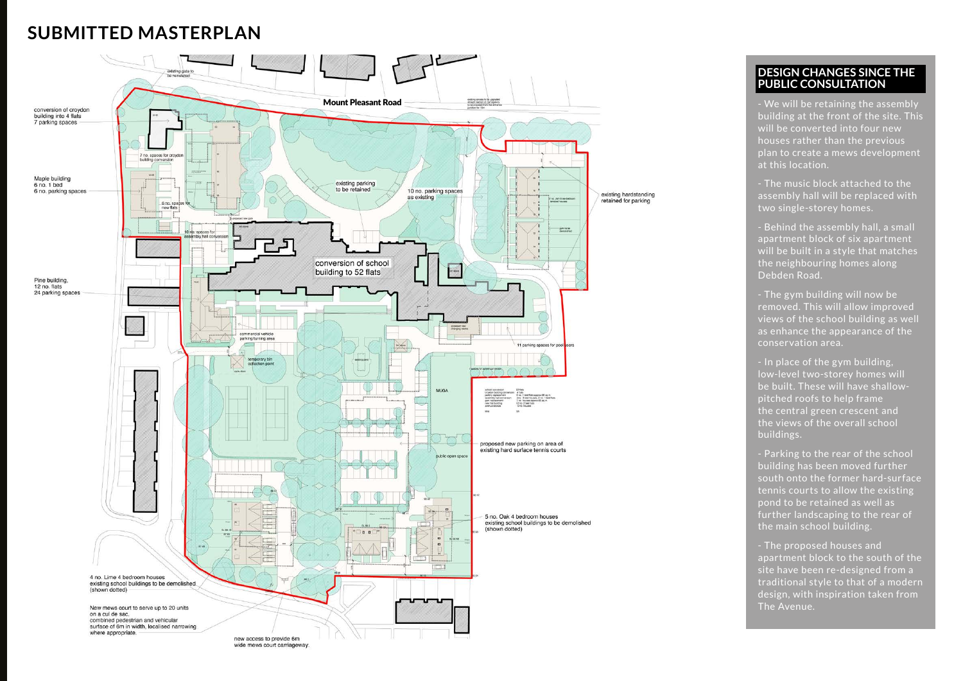# **SUBMITTED MASTERPLAN**

### **DESIGN CHANGES SINCE THE PUBLIC CONSULTATION**

- We will be retaining the assembly building at the front of the site. This will be converted into four new houses rather than the previous plan to create a mews development at this location.

- The music block attached to the assembly hall will be replaced with two single-storey homes.

- Behind the assembly hall, a small apartment block of six apartment will be built in a style that matches the neighbouring homes along Debden Road.

- The gym building will now be removed. This will allow improved views of the school building as well as enhance the appearance of the conservation area.

- In place of the gym building, low-level two-storey homes will be built. These will have shallowpitched roofs to help frame the central green crescent and the views of the overall school buildings.

- Parking to the rear of the school building has been moved further south onto the former hard-surface tennis courts to allow the existing pond to be retained as well as further landscaping to the rear of the main school building.

- The proposed houses and apartment block to the south of the site have been re-designed from a traditional style to that of a modern design, with inspiration taken from The Avenue.